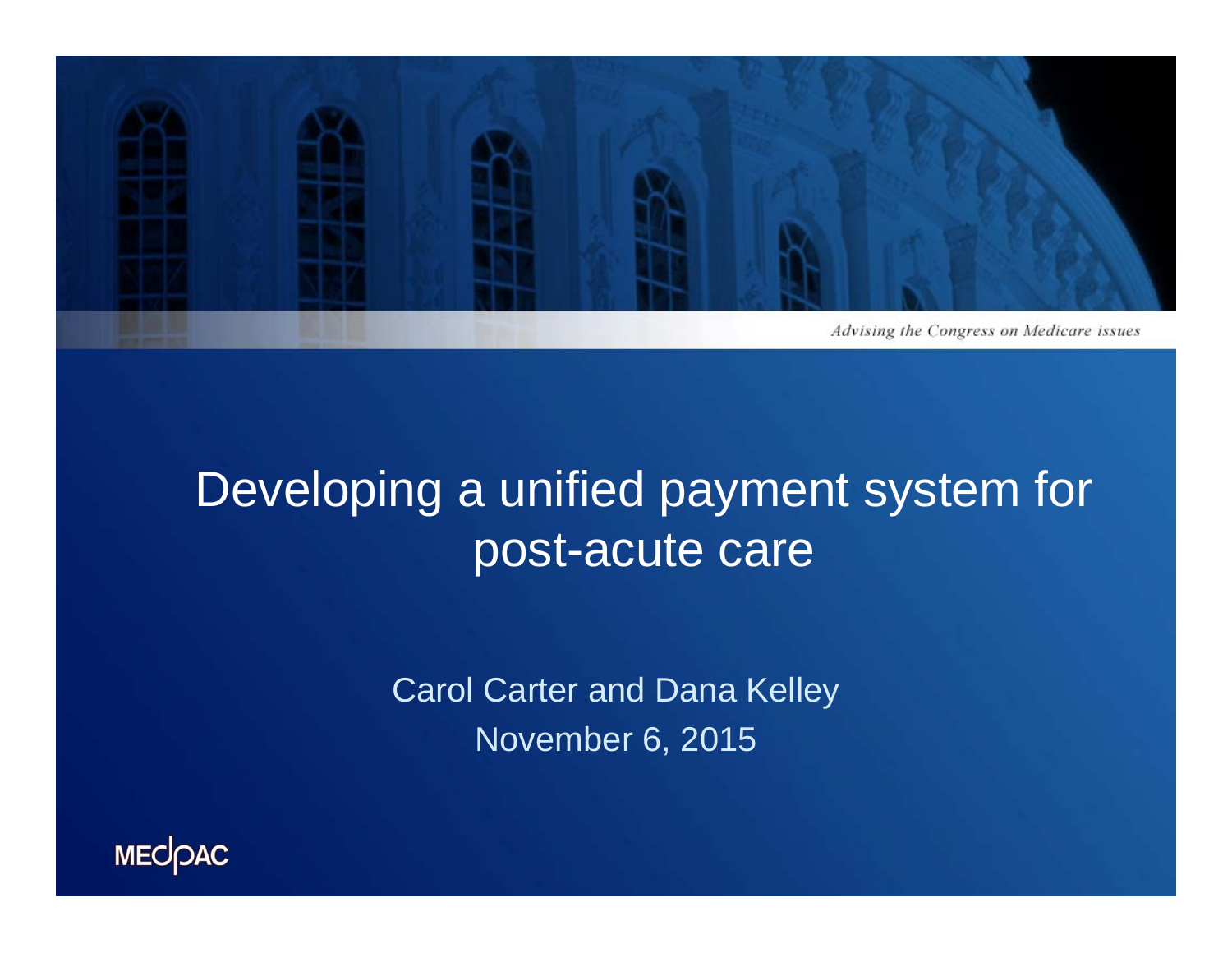

## Developing a unified payment system for post-acute care

Carol Carter and Dana Kelley November 6, 2015

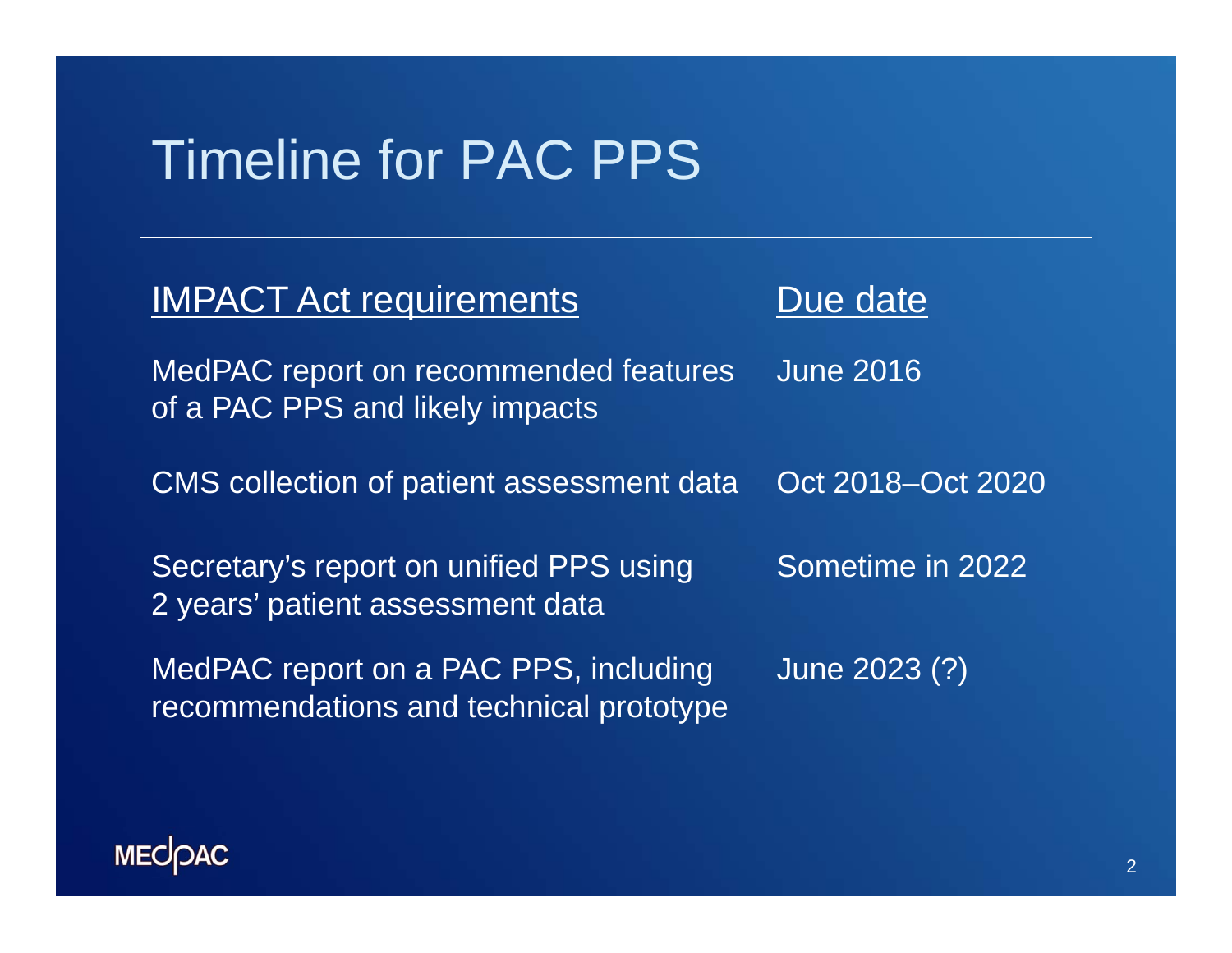### Timeline for PAC PPS

| <b>IMPACT Act requirements</b>                                                   | Due date          |
|----------------------------------------------------------------------------------|-------------------|
| MedPAC report on recommended features<br>of a PAC PPS and likely impacts         | <b>June 2016</b>  |
| CMS collection of patient assessment data                                        | Oct 2018–Oct 2020 |
| Secretary's report on unified PPS using<br>2 years' patient assessment data      | Sometime in 2022  |
| MedPAC report on a PAC PPS, including<br>recommendations and technical prototype | June 2023 (?)     |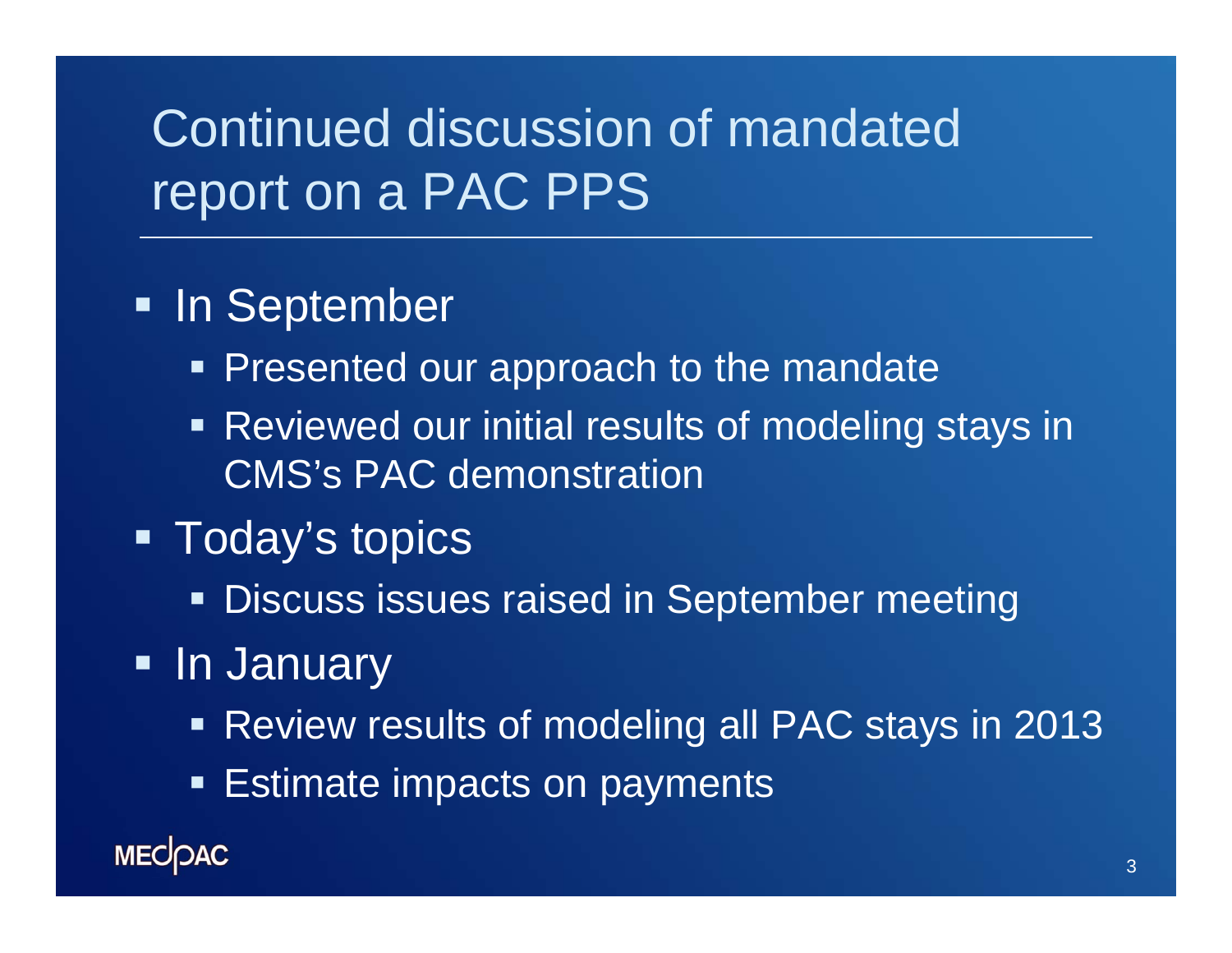## Continued discussion of mandated report on a PAC PPS

### **- In September**

- **Presented our approach to the mandate**
- Reviewed our initial results of modeling stays in CMS's PAC demonstration
- Today's topics
	- **Discuss issues raised in September meeting**
- In January
	- Review results of modeling all PAC stays in 2013
	- **Estimate impacts on payments**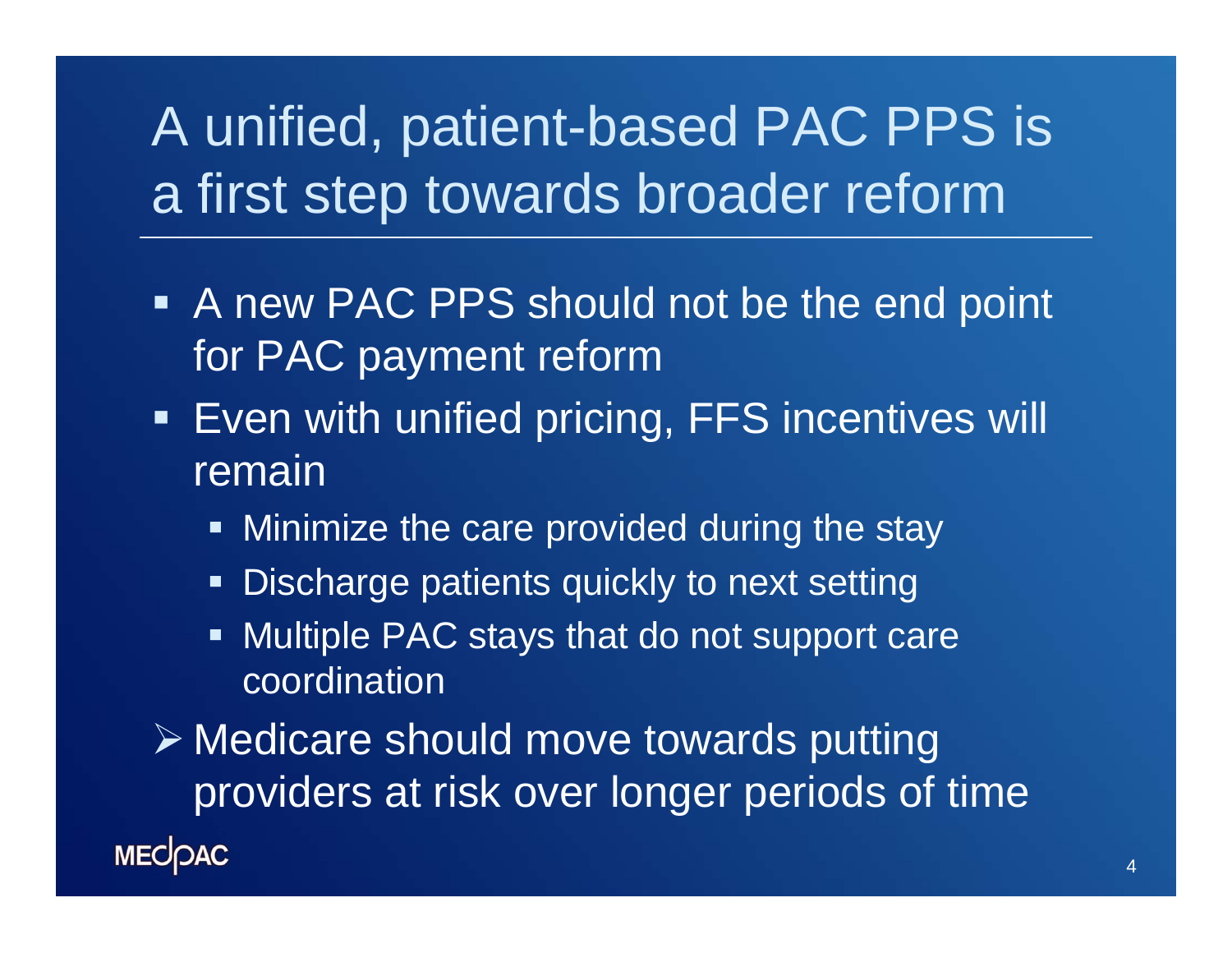# A unified, patient-based PAC PPS is a first step towards broader reform

- **A new PAC PPS should not be the end point** for PAC payment reform
- **Even with unified pricing, FFS incentives will** remain
	- **Minimize the care provided during the stay**
	- $\blacksquare$ Discharge patients quickly to next setting
	- **Multiple PAC stays that do not support care** coordination

 Medicare should move towards putting providers at risk over longer periods of time **MECOAC**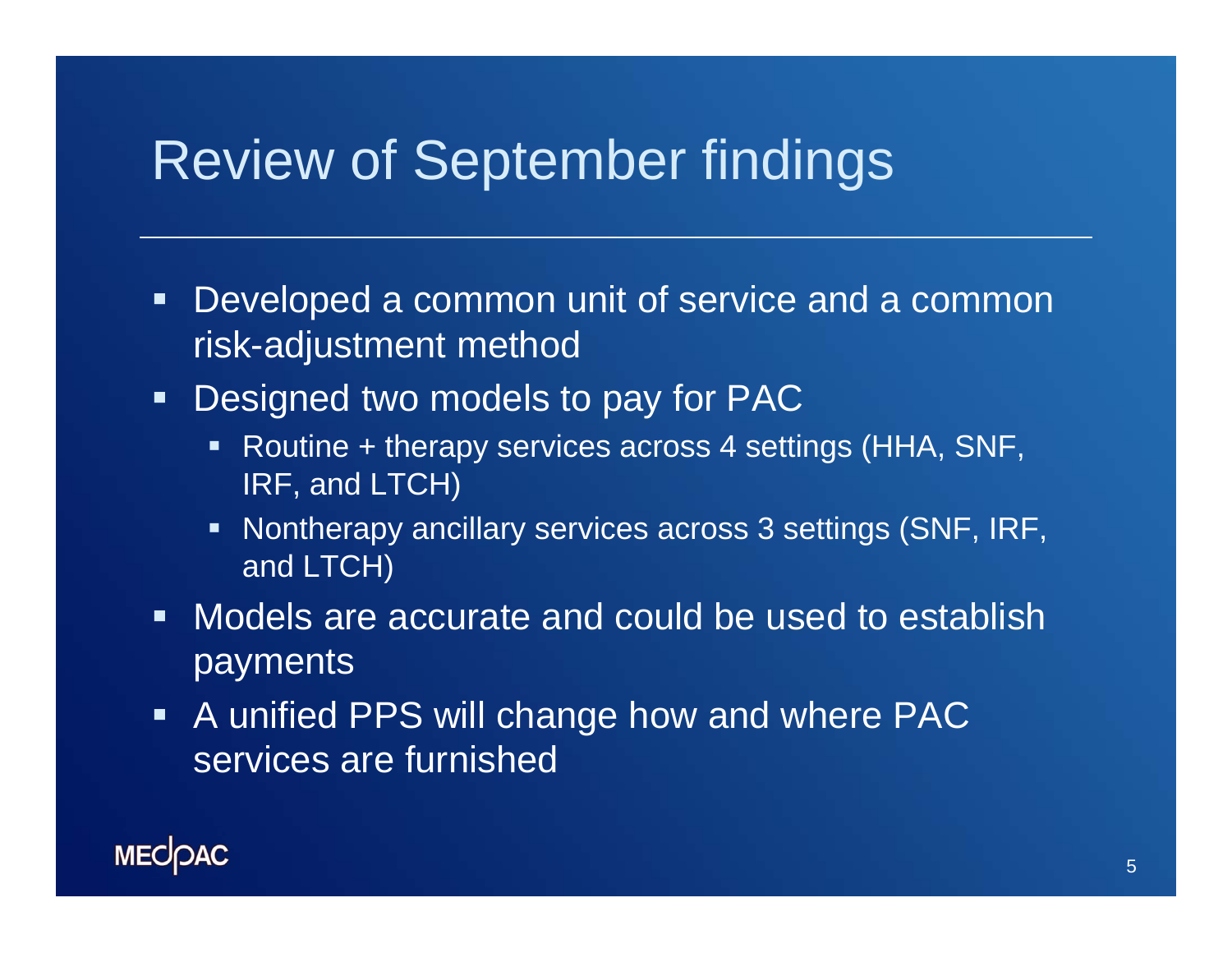### Review of September findings

- $\blacksquare$  . Developed a common unit of service and a common risk-adjustment method
- $\blacksquare$  Designed two models to pay for PAC
	- Routine + therapy services across 4 settings (HHA, SNF, IRF, and LTCH)
	- Nontherapy ancillary services across 3 settings (SNF, IRF, and LTCH)
- Models are accurate and could be used to establish payments
- **A** unified PPS will change how and where PAC services are furnished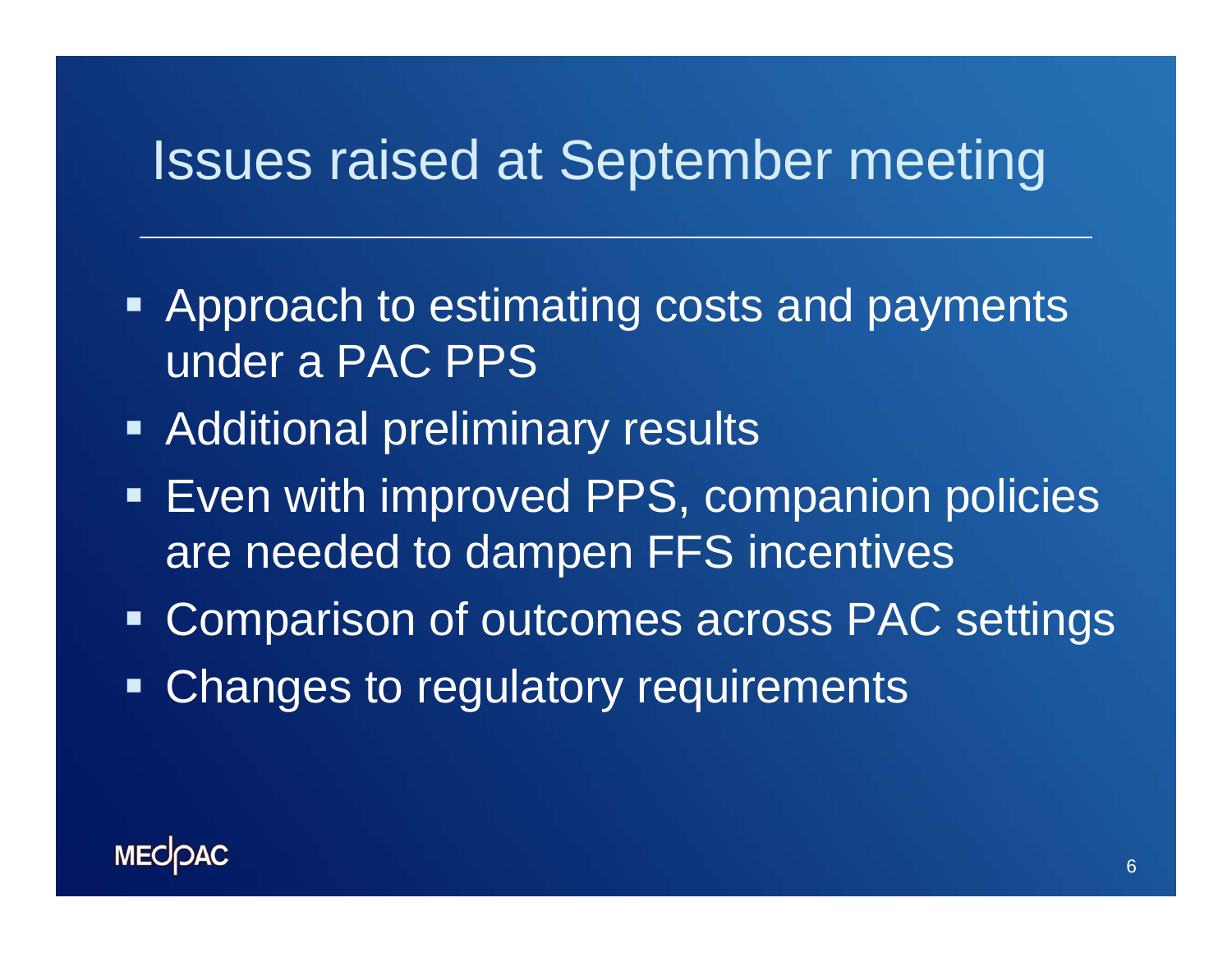### Issues raised at September meeting

- **Approach to estimating costs and payments** under a PAC PPS
- **EXADDED Andritional preliminary results**
- **Even with improved PPS, companion policies** are needed to dampen FFS incentives
- Ξ Comparison of outcomes across PAC settings
- $\blacksquare$ Changes to regulatory requirements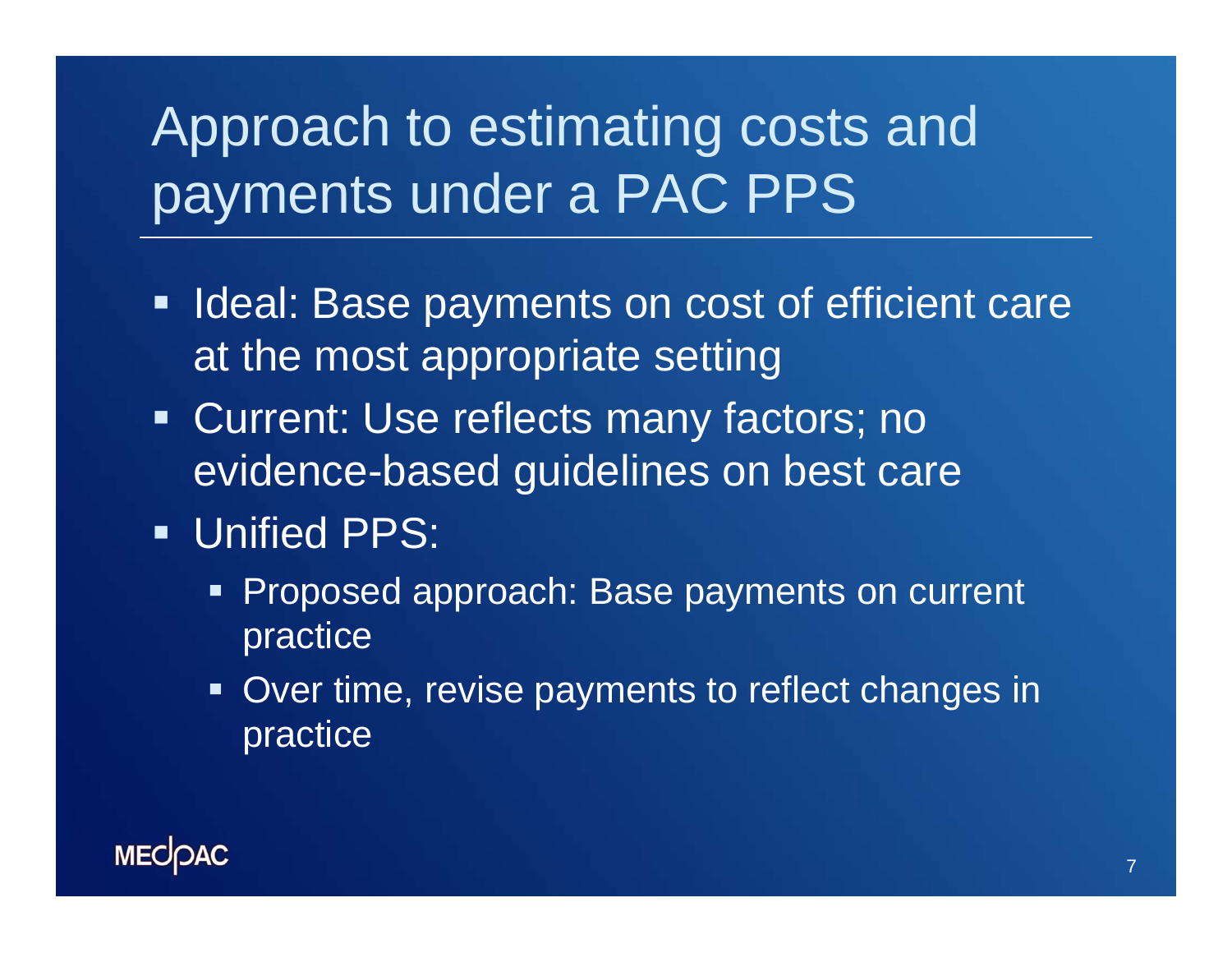# Approach to estimating costs and payments under a PAC PPS

- **Ideal: Base payments on cost of efficient care** at the most appropriate setting
- **Current: Use reflects many factors; no** evidence-based guidelines on best care
- **Unified PPS:** 
	- **Proposed approach: Base payments on current** practice
	- **Over time, revise payments to reflect changes in** practice

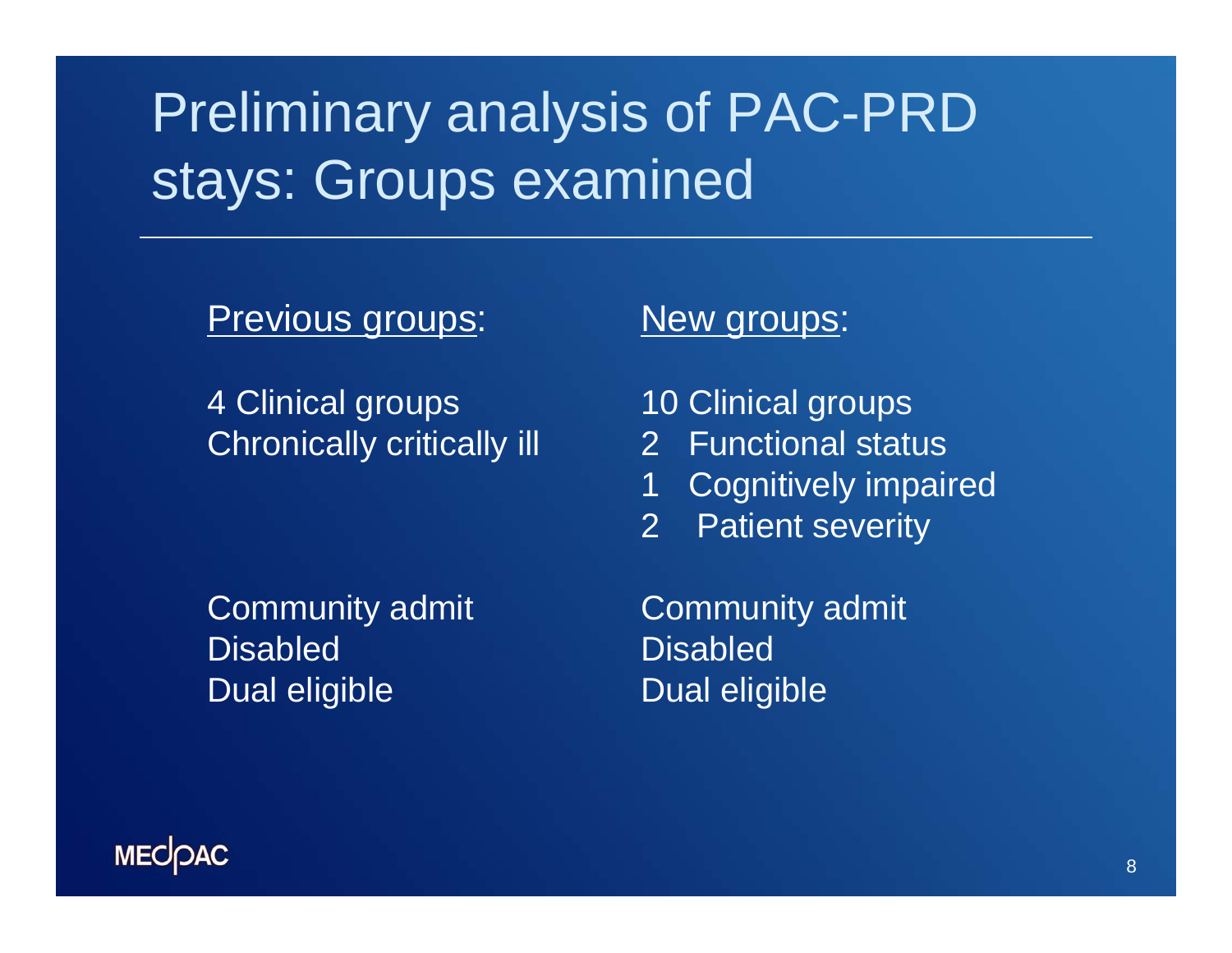# Preliminary analysis of PAC-PRD stays: Groups examined

Previous groups:

4 Clinical groups Chronically critically ill

Community admit DisabledDual eligible

#### New groups:

- 10 Clinical groups
- 2 Functional status
- 1 Cognitively impaired
- 2 Patient severity

Community admit DisabledDual eligible

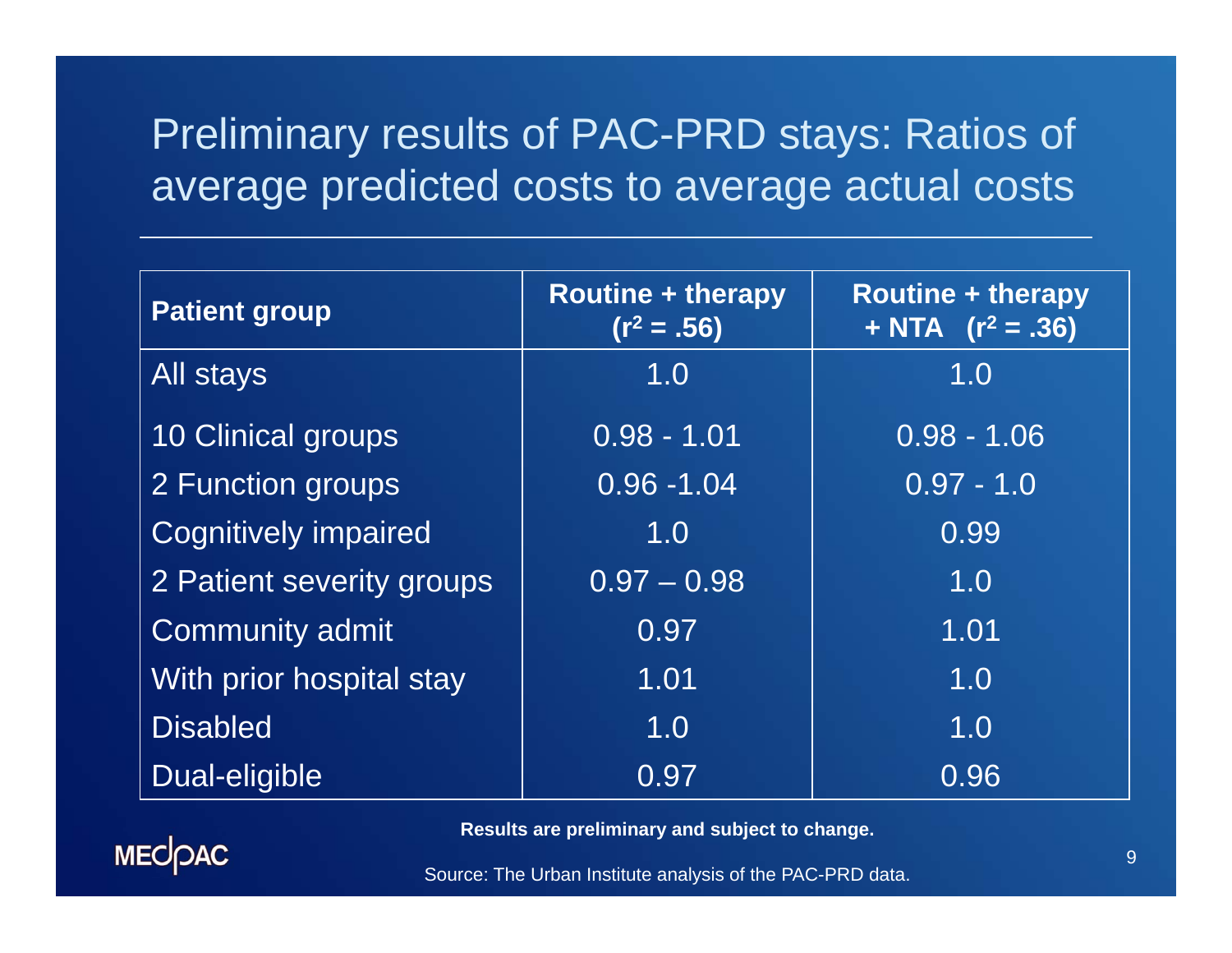### Preliminary results of PAC-PRD stays: Ratios of average predicted costs to average actual costs

| <b>Patient group</b>        | <b>Routine + therapy</b><br>$(r^2=.56)$ | <b>Routine + therapy</b><br>+ NTA $(r^2 = .36)$ |
|-----------------------------|-----------------------------------------|-------------------------------------------------|
| <b>All stays</b>            | 1.0                                     | 1.0                                             |
| 10 Clinical groups          | $0.98 - 1.01$                           | $0.98 - 1.06$                                   |
| 2 Function groups           | $0.96 - 1.04$                           | $0.97 - 1.0$                                    |
| <b>Cognitively impaired</b> | 1.0                                     | 0.99                                            |
| 2 Patient severity groups   | $0.97 - 0.98$                           | 1.0                                             |
| <b>Community admit</b>      | 0.97                                    | 1.01                                            |
| With prior hospital stay    | 1.01                                    | 1.0                                             |
| <b>Disabled</b>             | 1.0                                     | 1.0                                             |
| Dual-eligible               | 0.97                                    | 0.96                                            |

**Results are preliminary and subject to change.** 



Source: The Urban Institute analysis of the PAC-PRD data.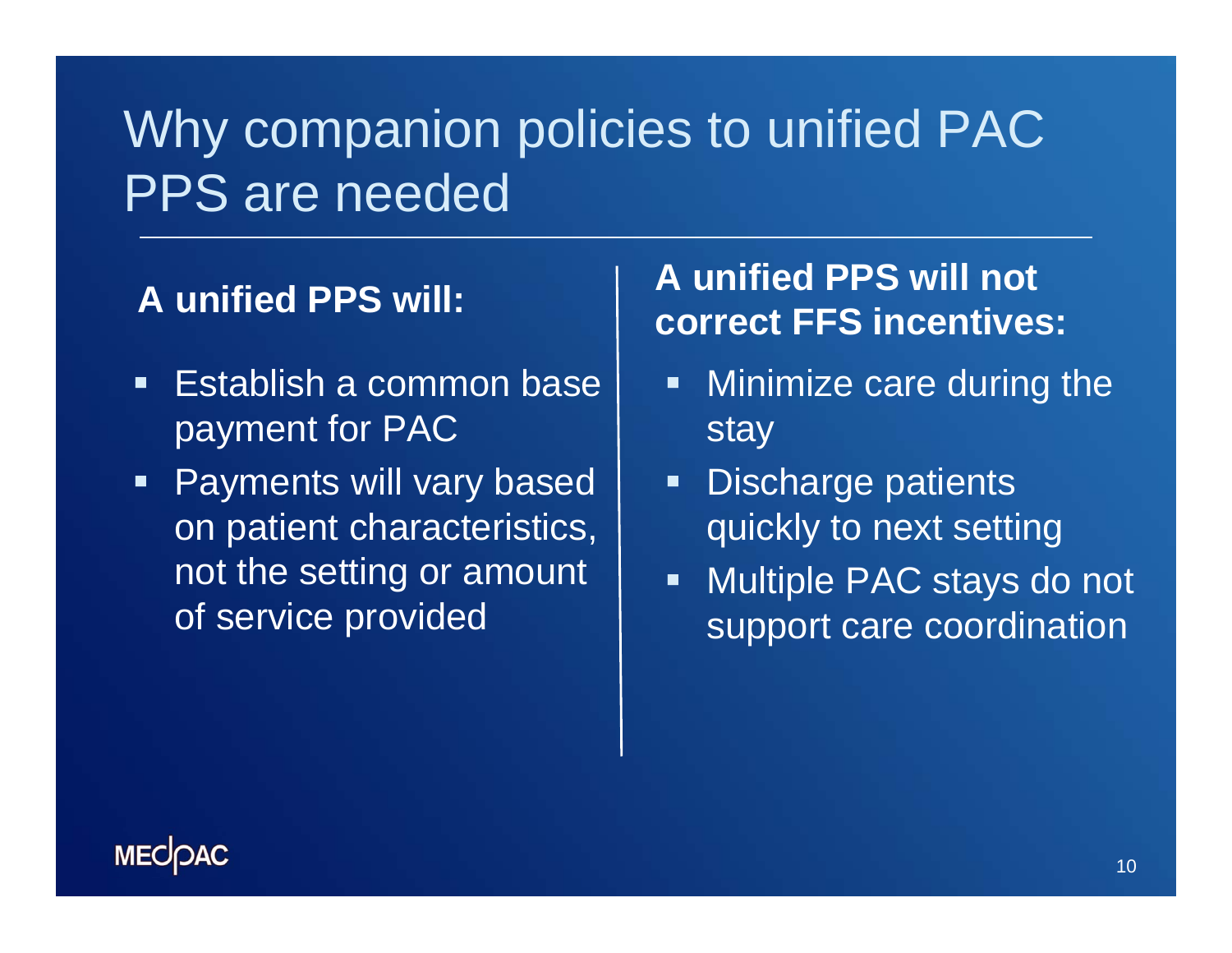## Why companion policies to unified PAC PPS are needed

#### **A unified PPS will:**

- $\blacksquare$  Establish a common base payment for PAC
- $\blacksquare$  Payments will vary based on patient characteristics, not the setting or amount of service provided

### **A unified PPS will not correct FFS incentives:**

- $\blacksquare$  Minimize care during the stay
- $\blacksquare$  Discharge patients quickly to next setting
- $\blacksquare$  Multiple PAC stays do not support care coordination

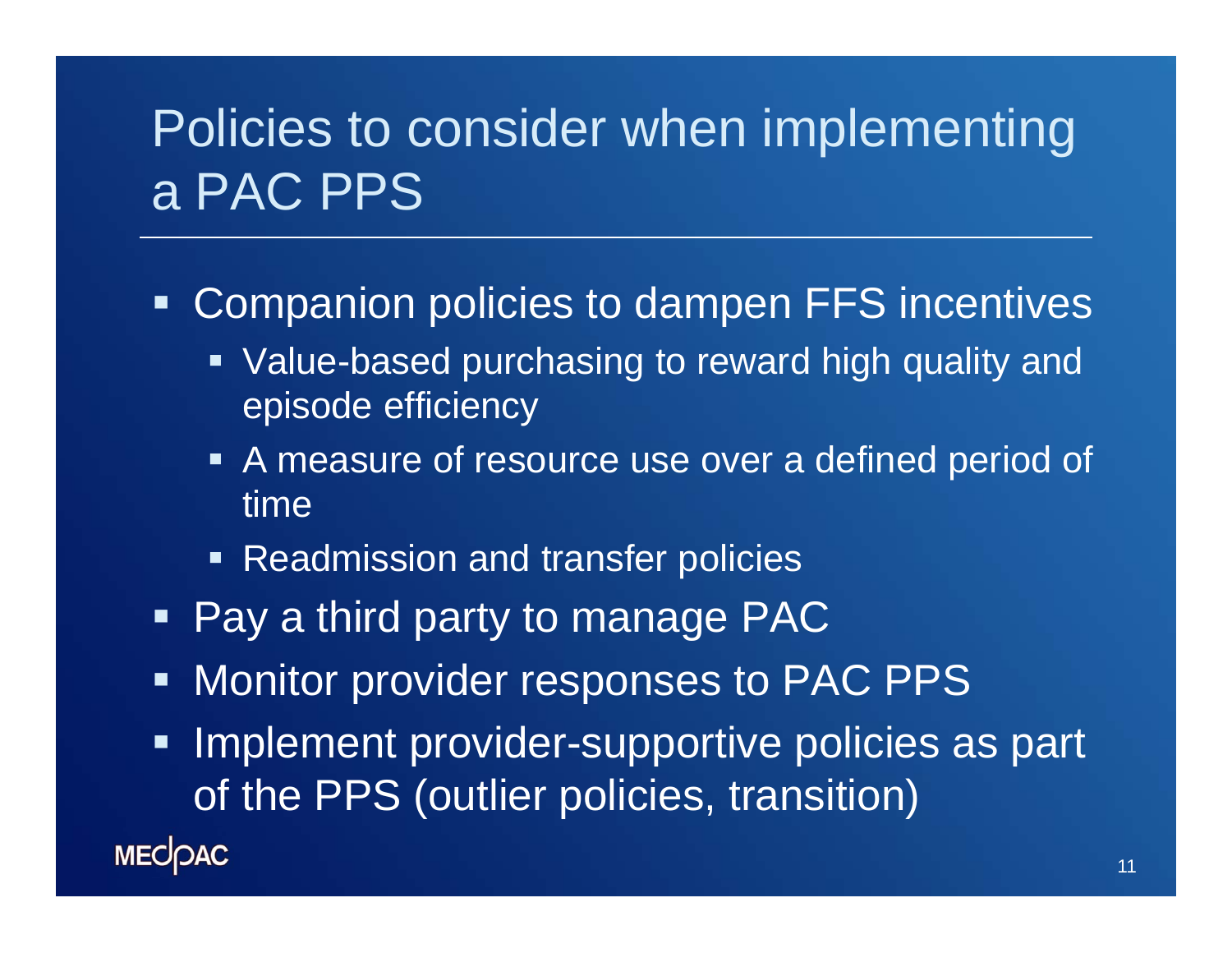## Policies to consider when implementing a PAC PPS

Ξ Companion policies to dampen FFS incentives

- **Value-based purchasing to reward high quality and** episode efficiency
- A measure of resource use over a defined period of time
- **Readmission and transfer policies**
- **Pay a third party to manage PAC**
- 电压 Monitor provider responses to PAC PPS
- $\begin{array}{c} \rule{0.2cm}{0.15mm} \rule{0.2cm}{0.15mm} \rule{0.2cm}{0.15mm} \rule{0.2cm}{0.15mm} \rule{0.2cm}{0.15mm} \rule{0.2cm}{0.15mm} \rule{0.2cm}{0.15mm} \rule{0.2cm}{0.15mm} \rule{0.2cm}{0.15mm} \rule{0.2cm}{0.15mm} \rule{0.2cm}{0.15mm} \rule{0.2cm}{0.15mm} \rule{0.2cm}{0.15mm} \rule{0.2cm}{0.15mm} \rule{0.2cm}{0.15mm} \rule{$  Implement provider-supportive policies as part of the PPS (outlier policies, transition)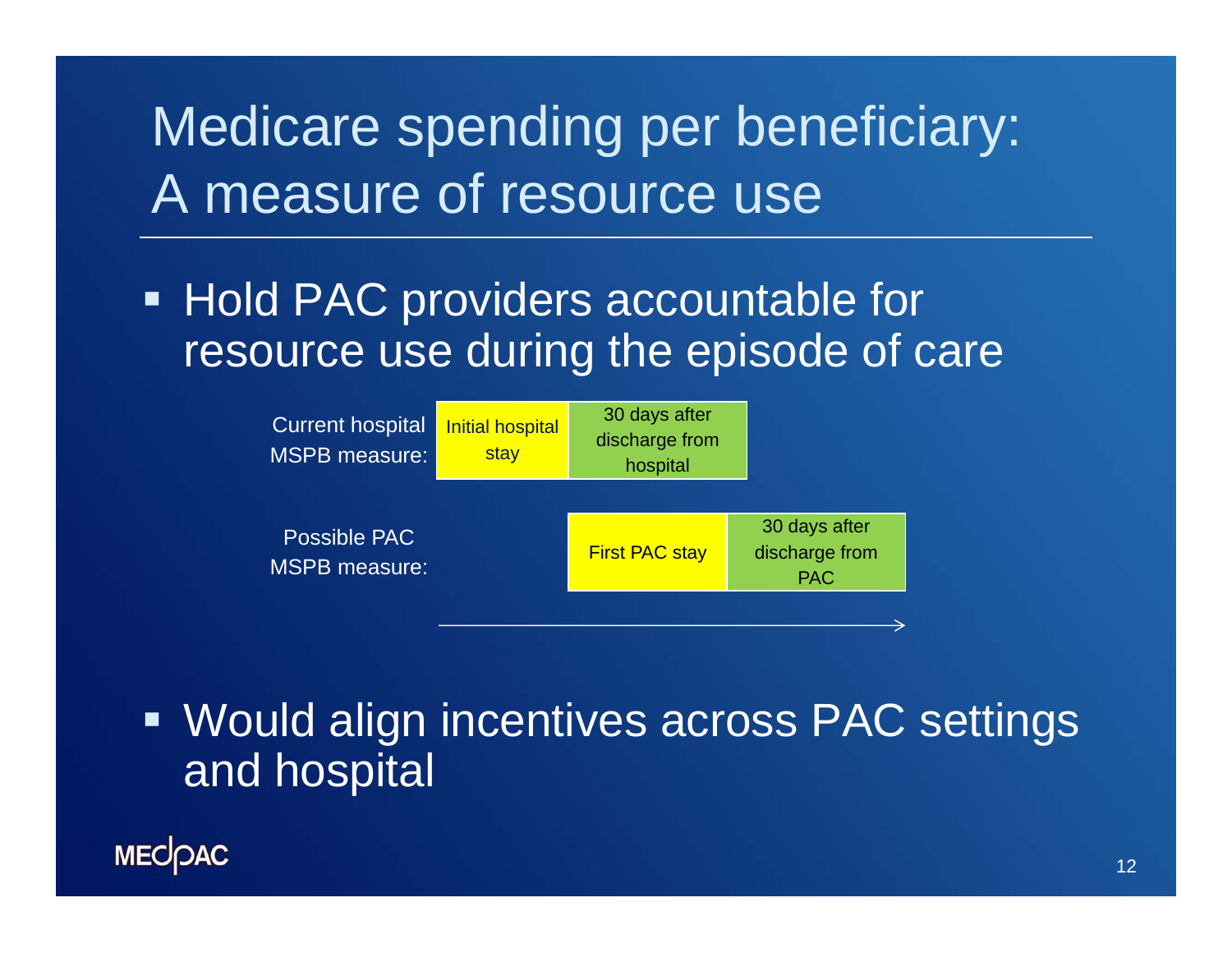# Medicare spending per beneficiary: A measure of resource use

**Hold PAC providers accountable for** resource use during the episode of care



**• Would align incentives across PAC settings** and hospital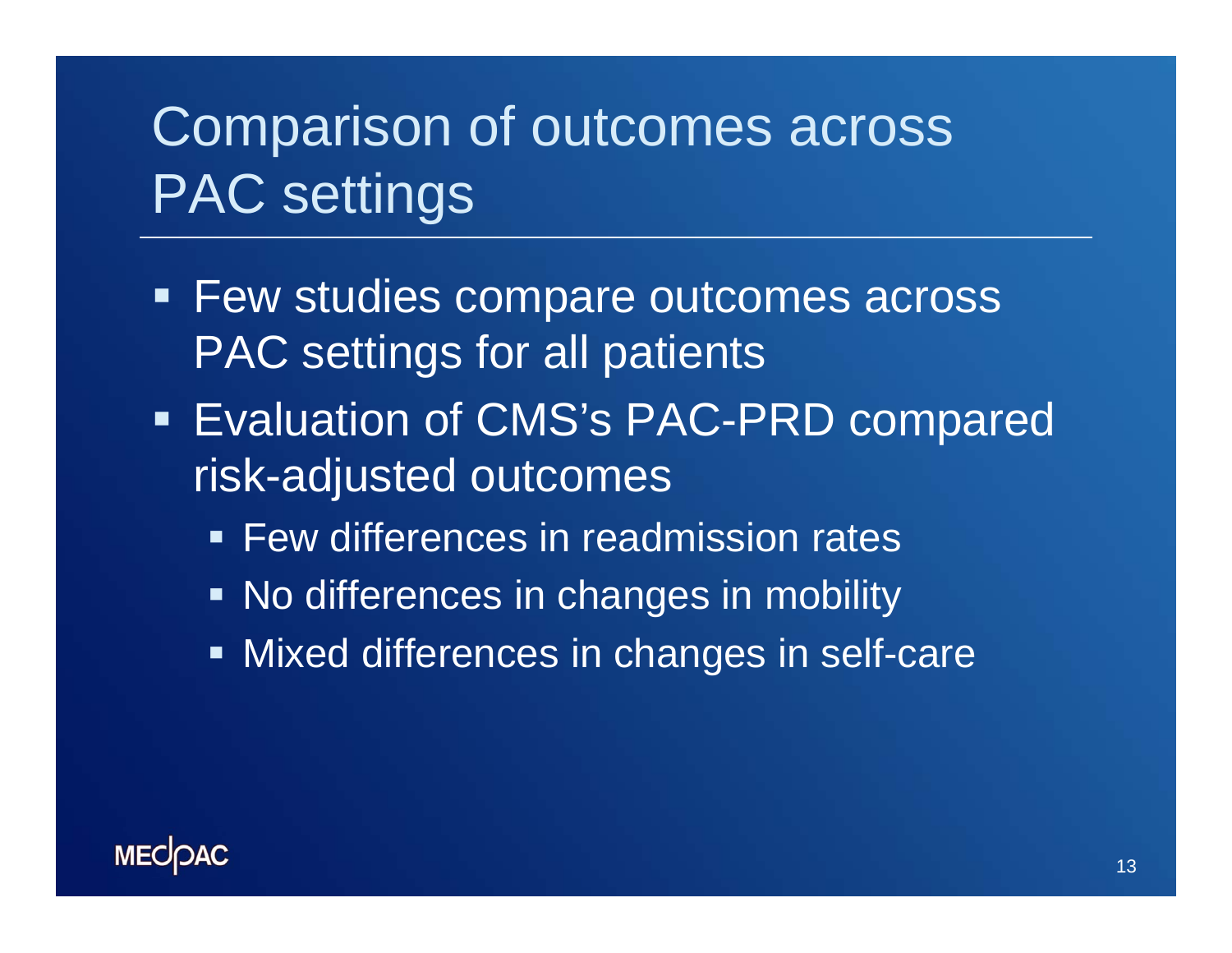# Comparison of outcomes across PAC settings

- **Few studies compare outcomes across** PAC settings for all patients
- **Evaluation of CMS's PAC-PRD compared** risk-adjusted outcomes
	- **Few differences in readmission rates**
	- **No differences in changes in mobility**
	- **Mixed differences in changes in self-care**

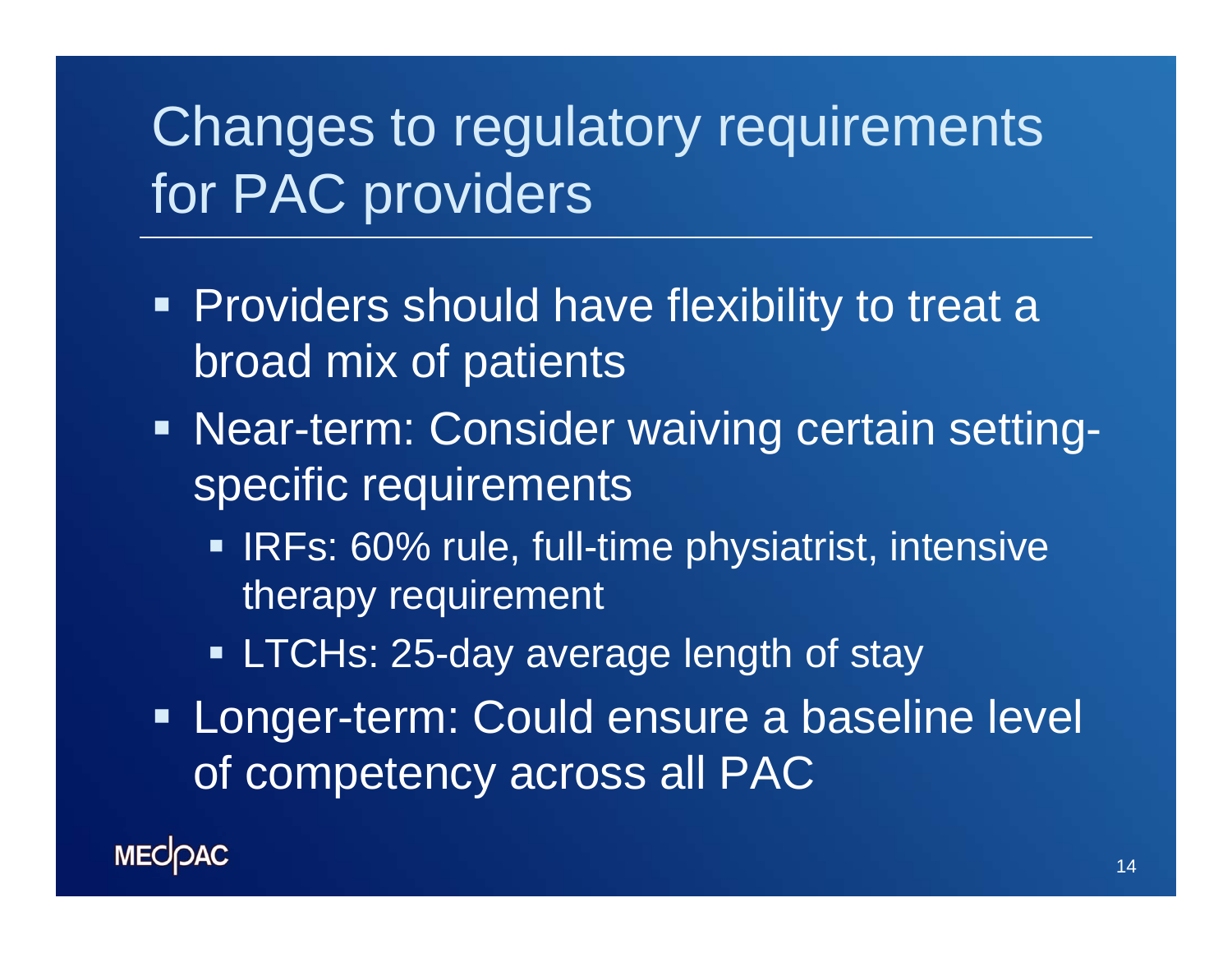# Changes to regulatory requirements for PAC providers

- **Providers should have flexibility to treat a** broad mix of patients
- Near-term: Consider waiving certain settingspecific requirements
	- IRFs: 60% rule, full-time physiatrist, intensive therapy requirement
	- **ELTCHs: 25-day average length of stay**
- **Example 1 Longer-term: Could ensure a baseline level** of competency across all PAC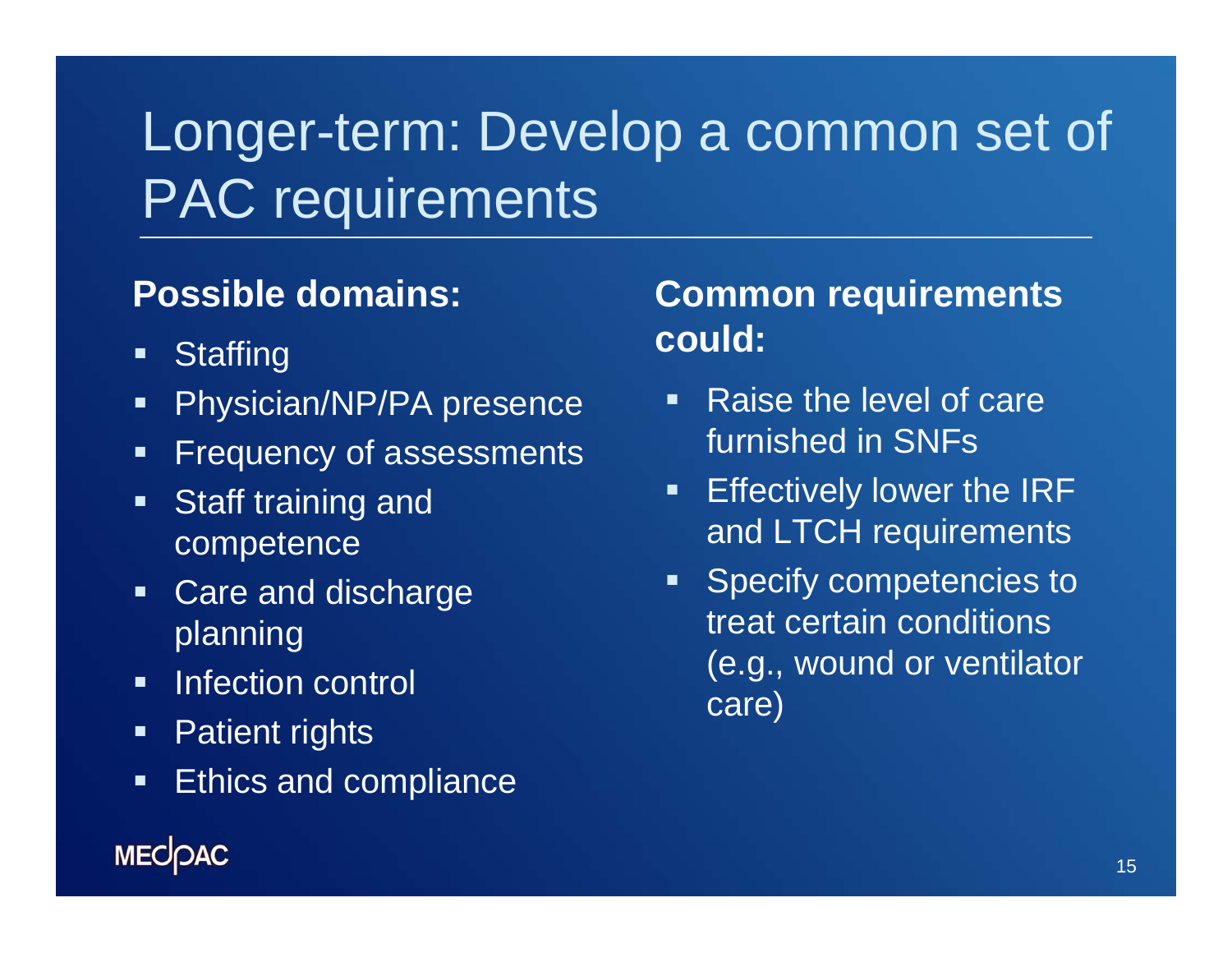# Longer-term: Develop a common set of PAC requirements

#### **Possible domains:**

- $\blacksquare$ **Staffing**
- $\blacksquare$ Physician/NP/PA presence
- $\blacksquare$ Frequency of assessments
- $\blacksquare$  Staff training and competence
- $\blacksquare$  Care and discharge planning
- $\blacksquare$ Infection control
- $\blacksquare$ Patient rights
- $\blacksquare$ Ethics and compliance

#### **Common requirements could:**

- $\blacksquare$  Raise the level of care furnished in SNFs
- $\blacksquare$  Effectively lower the IRF and LTCH requirements
- $\blacksquare$  Specify competencies to treat certain conditions (e.g., wound or ventilator care)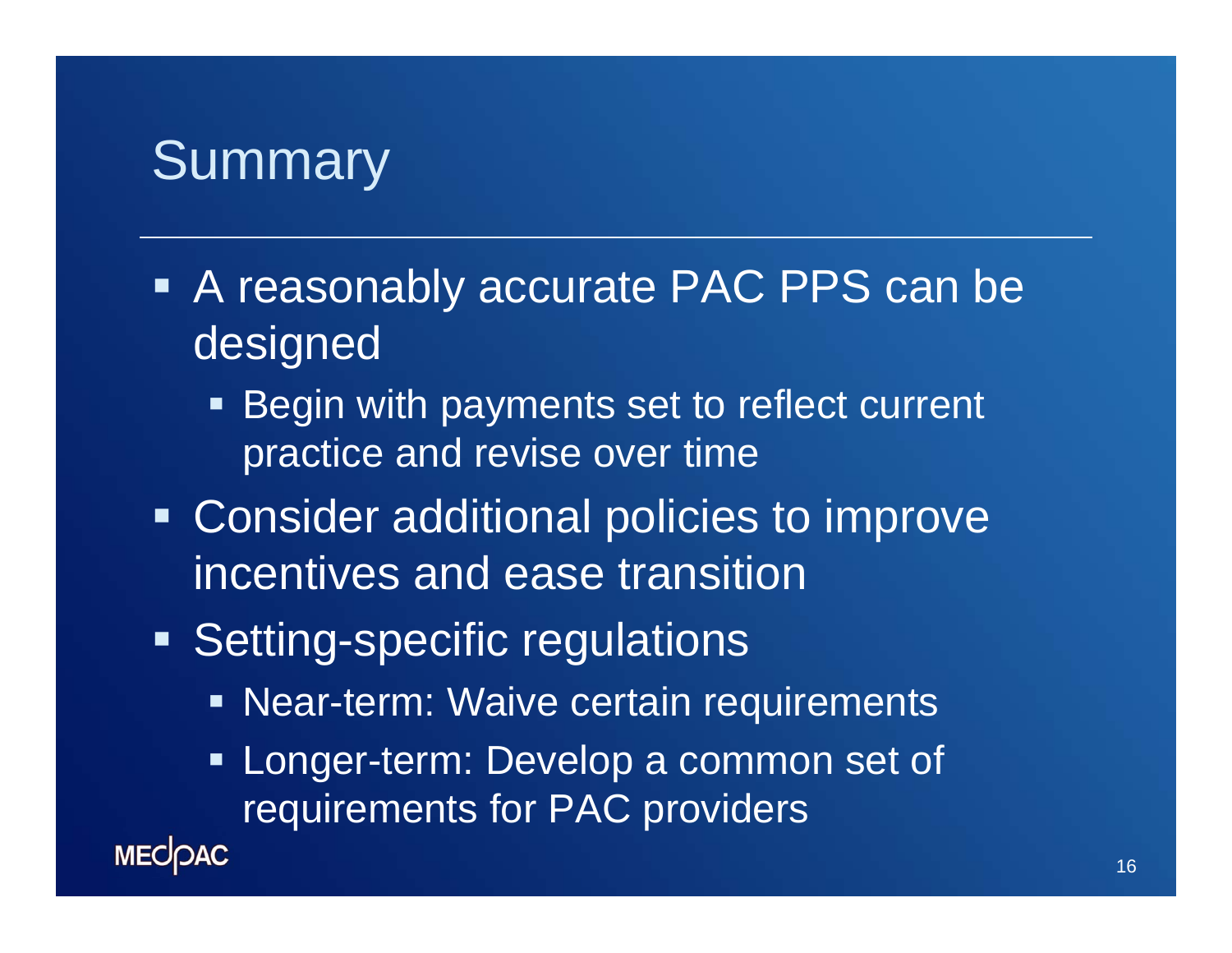### **Summary**

- A reasonably accurate PAC PPS can be designed
	- **Begin with payments set to reflect current** practice and revise over time
- **Consider additional policies to improve** incentives and ease transition
- **Setting-specific regulations** 
	- **Near-term: Waive certain requirements**
	- $\blacksquare$  Longer-term: Develop a common set of requirements for PAC providers